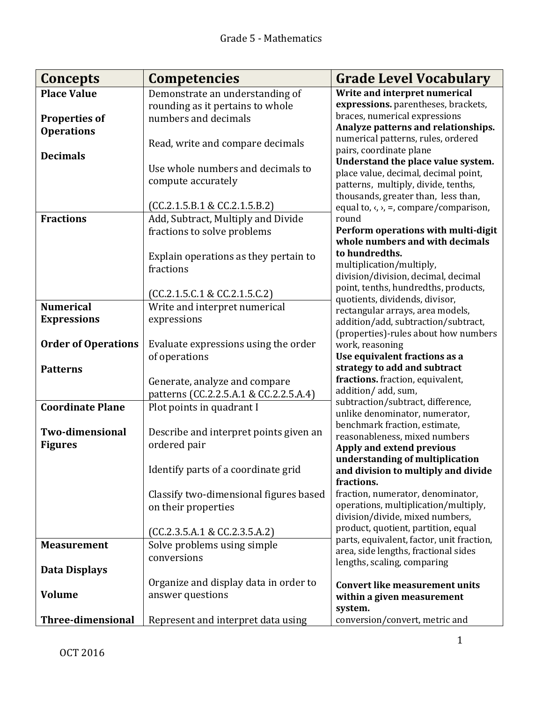| Concepts                   | <b>Competencies</b>                    | <b>Grade Level Vocabulary</b>                                             |
|----------------------------|----------------------------------------|---------------------------------------------------------------------------|
| <b>Place Value</b>         | Demonstrate an understanding of        | Write and interpret numerical                                             |
|                            | rounding as it pertains to whole       | expressions. parentheses, brackets,                                       |
| <b>Properties of</b>       | numbers and decimals                   | braces, numerical expressions                                             |
| <b>Operations</b>          |                                        | Analyze patterns and relationships.<br>numerical patterns, rules, ordered |
|                            | Read, write and compare decimals       | pairs, coordinate plane                                                   |
| <b>Decimals</b>            |                                        | Understand the place value system.                                        |
|                            | Use whole numbers and decimals to      | place value, decimal, decimal point,                                      |
|                            | compute accurately                     | patterns, multiply, divide, tenths,                                       |
|                            |                                        | thousands, greater than, less than,                                       |
|                            | (CC.2.1.5.B.1 & CC.2.1.5.B.2)          | equal to, $\langle$ , $\rangle$ , =, compare/comparison,                  |
| <b>Fractions</b>           | Add, Subtract, Multiply and Divide     | round                                                                     |
|                            | fractions to solve problems            | Perform operations with multi-digit<br>whole numbers and with decimals    |
|                            |                                        | to hundredths.                                                            |
|                            | Explain operations as they pertain to  | multiplication/multiply,                                                  |
|                            | fractions                              | division/division, decimal, decimal                                       |
|                            |                                        | point, tenths, hundredths, products,                                      |
| <b>Numerical</b>           | (CC.2.1.5.C.1 & CC.2.1.5.C.2)          | quotients, dividends, divisor,                                            |
|                            | Write and interpret numerical          | rectangular arrays, area models,                                          |
| <b>Expressions</b>         | expressions                            | addition/add, subtraction/subtract,                                       |
|                            |                                        | (properties)-rules about how numbers                                      |
| <b>Order of Operations</b> | Evaluate expressions using the order   | work, reasoning<br>Use equivalent fractions as a                          |
| <b>Patterns</b>            | of operations                          | strategy to add and subtract                                              |
|                            | Generate, analyze and compare          | fractions. fraction, equivalent,                                          |
|                            | patterns (CC.2.2.5.A.1 & CC.2.2.5.A.4) | addition/add, sum,                                                        |
| <b>Coordinate Plane</b>    | Plot points in quadrant I              | subtraction/subtract, difference,                                         |
|                            |                                        | unlike denominator, numerator,                                            |
| <b>Two-dimensional</b>     | Describe and interpret points given an | benchmark fraction, estimate,                                             |
| <b>Figures</b>             | ordered pair                           | reasonableness, mixed numbers                                             |
|                            |                                        | Apply and extend previous                                                 |
|                            | Identify parts of a coordinate grid    | understanding of multiplication<br>and division to multiply and divide    |
|                            |                                        | fractions.                                                                |
|                            | Classify two-dimensional figures based | fraction, numerator, denominator,                                         |
|                            | on their properties                    | operations, multiplication/multiply,                                      |
|                            |                                        | division/divide, mixed numbers,                                           |
|                            | (CC.2.3.5.A.1 & CC.2.3.5.A.2)          | product, quotient, partition, equal                                       |
| <b>Measurement</b>         | Solve problems using simple            | parts, equivalent, factor, unit fraction,                                 |
|                            | conversions                            | area, side lengths, fractional sides<br>lengths, scaling, comparing       |
| Data Displays              |                                        |                                                                           |
|                            | Organize and display data in order to  | <b>Convert like measurement units</b>                                     |
| <b>Volume</b>              | answer questions                       | within a given measurement                                                |
|                            |                                        | system.                                                                   |
| <b>Three-dimensional</b>   | Represent and interpret data using     | conversion/convert, metric and                                            |